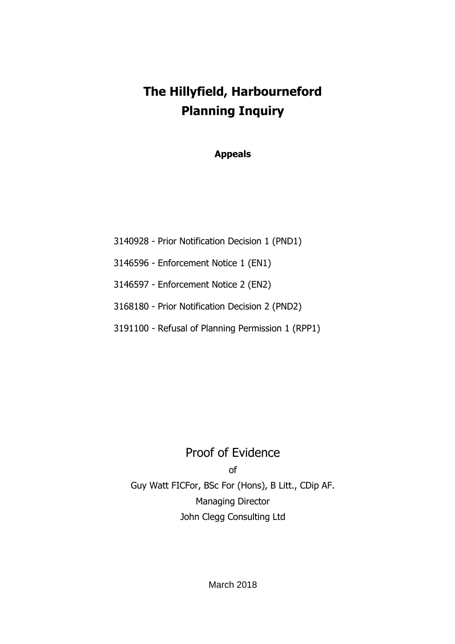# **The Hillyfield, Harbourneford Planning Inquiry**

**Appeals**

- 3140928 Prior Notification Decision 1 (PND1)
- 3146596 Enforcement Notice 1 (EN1)
- 3146597 Enforcement Notice 2 (EN2)
- 3168180 Prior Notification Decision 2 (PND2)
- 3191100 Refusal of Planning Permission 1 (RPP1)

## Proof of Evidence

of

Guy Watt FICFor, BSc For (Hons), B Litt., CDip AF. Managing Director John Clegg Consulting Ltd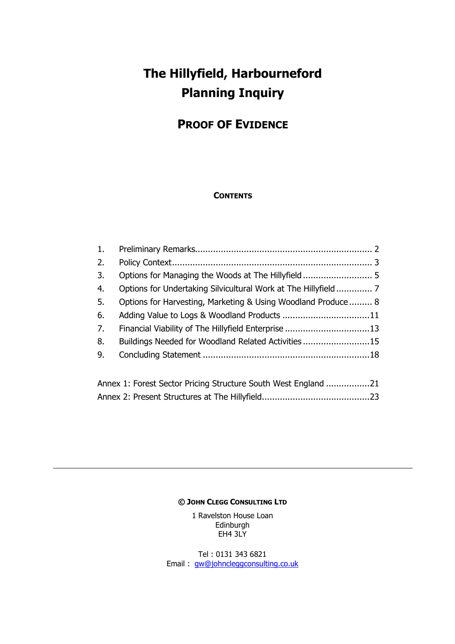## **The Hillyfield, Harbourneford Planning Inquiry**

## **PROOF OF EVIDENCE**

#### **CONTENTS**

| 1. |                                                              |     |
|----|--------------------------------------------------------------|-----|
| 2. |                                                              |     |
| 3. |                                                              |     |
| 4. |                                                              |     |
| 5. | Options for Harvesting, Marketing & Using Woodland Produce 8 |     |
| 6. |                                                              |     |
| 7. |                                                              |     |
| 8. | Buildings Needed for Woodland Related Activities15           |     |
| 9. |                                                              |     |
|    |                                                              |     |
|    | Annoy 1: Earest Cester Driging Ctrusture Couth West England  | า 1 |

Annex 1: Forest Sector Pricing Structure South West England .................21 Annex 2: Present Structures at The Hillyfield..........................................23

#### **© JOHN CLEGG CONSULTING LTD**

1 Ravelston House Loan Edinburgh EH4 3LY

Tel : 0131 343 6821 Email : gw@johncleggconsulting.co.uk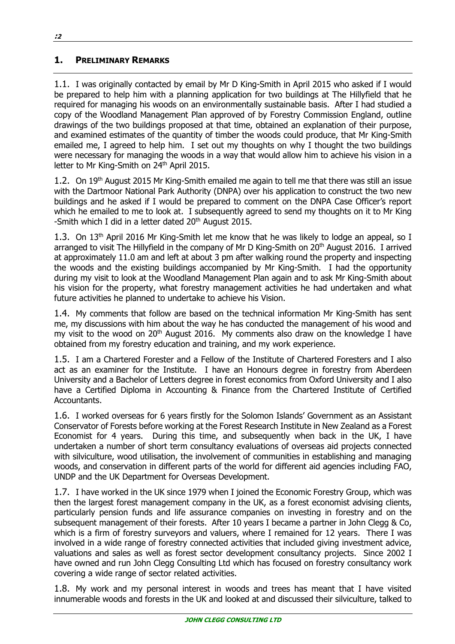## **1. PRELIMINARY REMARKS**

1.1. I was originally contacted by email by Mr D King-Smith in April 2015 who asked if I would be prepared to help him with a planning application for two buildings at The Hillyfield that he required for managing his woods on an environmentally sustainable basis. After I had studied a copy of the Woodland Management Plan approved of by Forestry Commission England, outline drawings of the two buildings proposed at that time, obtained an explanation of their purpose, and examined estimates of the quantity of timber the woods could produce, that Mr King-Smith emailed me, I agreed to help him. I set out my thoughts on why I thought the two buildings were necessary for managing the woods in a way that would allow him to achieve his vision in a letter to Mr King-Smith on 24<sup>th</sup> April 2015.

1.2. On 19<sup>th</sup> August 2015 Mr King-Smith emailed me again to tell me that there was still an issue with the Dartmoor National Park Authority (DNPA) over his application to construct the two new buildings and he asked if I would be prepared to comment on the DNPA Case Officer's report which he emailed to me to look at. I subsequently agreed to send my thoughts on it to Mr King -Smith which I did in a letter dated 20<sup>th</sup> August 2015.

1.3. On 13<sup>th</sup> April 2016 Mr King-Smith let me know that he was likely to lodge an appeal, so I arranged to visit The Hillyfield in the company of Mr D King-Smith on 20<sup>th</sup> August 2016. I arrived at approximately 11.0 am and left at about 3 pm after walking round the property and inspecting the woods and the existing buildings accompanied by Mr King-Smith. I had the opportunity during my visit to look at the Woodland Management Plan again and to ask Mr King-Smith about his vision for the property, what forestry management activities he had undertaken and what future activities he planned to undertake to achieve his Vision.

1.4. My comments that follow are based on the technical information Mr King-Smith has sent me, my discussions with him about the way he has conducted the management of his wood and my visit to the wood on 20<sup>th</sup> August 2016. My comments also draw on the knowledge I have obtained from my forestry education and training, and my work experience.

1.5. I am a Chartered Forester and a Fellow of the Institute of Chartered Foresters and I also act as an examiner for the Institute. I have an Honours degree in forestry from Aberdeen University and a Bachelor of Letters degree in forest economics from Oxford University and I also have a Certified Diploma in Accounting & Finance from the Chartered Institute of Certified Accountants.

1.6. I worked overseas for 6 years firstly for the Solomon Islands' Government as an Assistant Conservator of Forests before working at the Forest Research Institute in New Zealand as a Forest Economist for 4 years. During this time, and subsequently when back in the UK, I have undertaken a number of short term consultancy evaluations of overseas aid projects connected with silviculture, wood utilisation, the involvement of communities in establishing and managing woods, and conservation in different parts of the world for different aid agencies including FAO, UNDP and the UK Department for Overseas Development.

1.7. I have worked in the UK since 1979 when I joined the Economic Forestry Group, which was then the largest forest management company in the UK, as a forest economist advising clients, particularly pension funds and life assurance companies on investing in forestry and on the subsequent management of their forests. After 10 years I became a partner in John Clegg & Co, which is a firm of forestry surveyors and valuers, where I remained for 12 years. There I was involved in a wide range of forestry connected activities that included giving investment advice, valuations and sales as well as forest sector development consultancy projects. Since 2002 I have owned and run John Clegg Consulting Ltd which has focused on forestry consultancy work covering a wide range of sector related activities.

1.8. My work and my personal interest in woods and trees has meant that I have visited innumerable woods and forests in the UK and looked at and discussed their silviculture, talked to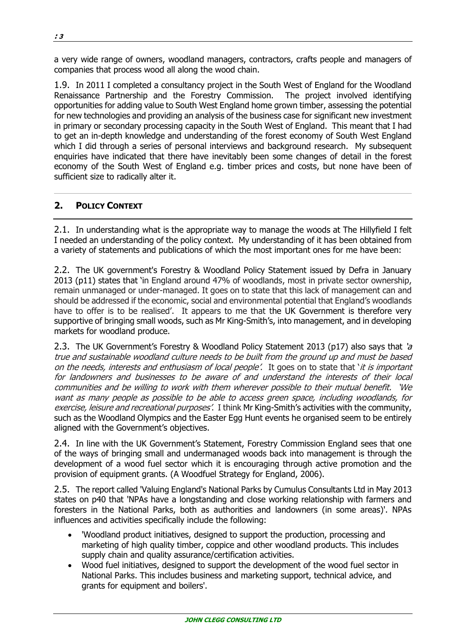a very wide range of owners, woodland managers, contractors, crafts people and managers of companies that process wood all along the wood chain.

1.9. In 2011 I completed a consultancy project in the South West of England for the Woodland Renaissance Partnership and the Forestry Commission. The project involved identifying opportunities for adding value to South West England home grown timber, assessing the potential for new technologies and providing an analysis of the business case for significant new investment in primary or secondary processing capacity in the South West of England. This meant that I had to get an in-depth knowledge and understanding of the forest economy of South West England which I did through a series of personal interviews and background research. My subsequent enquiries have indicated that there have inevitably been some changes of detail in the forest economy of the South West of England e.g. timber prices and costs, but none have been of sufficient size to radically alter it.

## **2. POLICY CONTEXT**

2.1. In understanding what is the appropriate way to manage the woods at The Hillyfield I felt I needed an understanding of the policy context. My understanding of it has been obtained from a variety of statements and publications of which the most important ones for me have been:

2.2. The UK government's Forestry & Woodland Policy Statement issued by Defra in January 2013 (p11) states that 'in England around 47% of woodlands, most in private sector ownership, remain unmanaged or under-managed. It goes on to state that this lack of management can and should be addressed if the economic, social and environmental potential that England's woodlands have to offer is to be realised'. It appears to me that the UK Government is therefore very supportive of bringing small woods, such as Mr King-Smith's, into management, and in developing markets for woodland produce.

2.3. The UK Government's Forestry & Woodland Policy Statement 2013 (p17) also says that 'a true and sustainable woodland culture needs to be built from the ground up and must be based on the needs, interests and enthusiasm of local people'. It goes on to state that 'it is important for landowners and businesses to be aware of and understand the interests of their local communities and be willing to work with them wherever possible to their mutual benefit. 'We want as many people as possible to be able to access green space, including woodlands, for exercise, leisure and recreational purposes'. I think Mr King-Smith's activities with the community, such as the Woodland Olympics and the Easter Egg Hunt events he organised seem to be entirely aligned with the Government's objectives.

2.4. In line with the UK Government's Statement, Forestry Commission England sees that one of the ways of bringing small and undermanaged woods back into management is through the development of a wood fuel sector which it is encouraging through active promotion and the provision of equipment grants. (A Woodfuel Strategy for England, 2006).

2.5. The report called 'Valuing England's National Parks by Cumulus Consultants Ltd in May 2013 states on p40 that 'NPAs have a longstanding and close working relationship with farmers and foresters in the National Parks, both as authorities and landowners (in some areas)'. NPAs influences and activities specifically include the following:

- 'Woodland product initiatives, designed to support the production, processing and marketing of high quality timber, coppice and other woodland products. This includes supply chain and quality assurance/certification activities.
- Wood fuel initiatives, designed to support the development of the wood fuel sector in National Parks. This includes business and marketing support, technical advice, and grants for equipment and boilers'.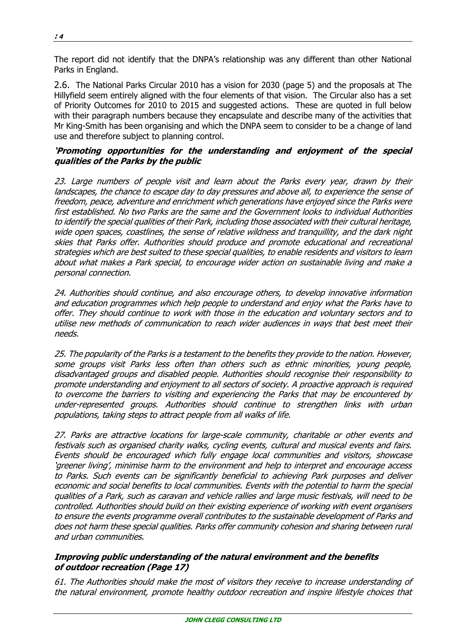The report did not identify that the DNPA's relationship was any different than other National Parks in England.

2.6. The National Parks Circular 2010 has a vision for 2030 (page 5) and the proposals at The Hillyfield seem entirely aligned with the four elements of that vision. The Circular also has a set of Priority Outcomes for 2010 to 2015 and suggested actions. These are quoted in full below with their paragraph numbers because they encapsulate and describe many of the activities that Mr King-Smith has been organising and which the DNPA seem to consider to be a change of land use and therefore subject to planning control.

#### **'Promoting opportunities for the understanding and enjoyment of the special qualities of the Parks by the public**

23. Large numbers of people visit and learn about the Parks every year, drawn by their landscapes, the chance to escape day to day pressures and above all, to experience the sense of freedom, peace, adventure and enrichment which generations have enjoyed since the Parks were first established. No two Parks are the same and the Government looks to individual Authorities to identify the special qualities of their Park, including those associated with their cultural heritage, wide open spaces, coastlines, the sense of relative wildness and tranquillity, and the dark night skies that Parks offer. Authorities should produce and promote educational and recreational strategies which are best suited to these special qualities, to enable residents and visitors to learn about what makes a Park special, to encourage wider action on sustainable living and make a personal connection.

24. Authorities should continue, and also encourage others, to develop innovative information and education programmes which help people to understand and enjoy what the Parks have to offer. They should continue to work with those in the education and voluntary sectors and to utilise new methods of communication to reach wider audiences in ways that best meet their needs.

25. The popularity of the Parks is a testament to the benefits they provide to the nation. However, some groups visit Parks less often than others such as ethnic minorities, young people, disadvantaged groups and disabled people. Authorities should recognise their responsibility to promote understanding and enjoyment to all sectors of society. A proactive approach is required to overcome the barriers to visiting and experiencing the Parks that may be encountered by under-represented groups. Authorities should continue to strengthen links with urban populations, taking steps to attract people from all walks of life.

27. Parks are attractive locations for large-scale community, charitable or other events and festivals such as organised charity walks, cycling events, cultural and musical events and fairs. Events should be encouraged which fully engage local communities and visitors, showcase 'greener living', minimise harm to the environment and help to interpret and encourage access to Parks. Such events can be significantly beneficial to achieving Park purposes and deliver economic and social benefits to local communities. Events with the potential to harm the special qualities of a Park, such as caravan and vehicle rallies and large music festivals, will need to be controlled. Authorities should build on their existing experience of working with event organisers to ensure the events programme overall contributes to the sustainable development of Parks and does not harm these special qualities. Parks offer community cohesion and sharing between rural and urban communities.

#### **Improving public understanding of the natural environment and the benefits of outdoor recreation (Page 17)**

61. The Authorities should make the most of visitors they receive to increase understanding of the natural environment, promote healthy outdoor recreation and inspire lifestyle choices that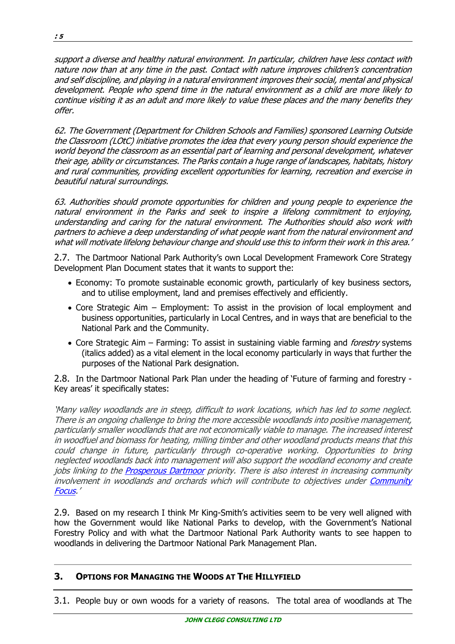support a diverse and healthy natural environment. In particular, children have less contact with nature now than at any time in the past. Contact with nature improves children's concentration and self discipline, and playing in a natural environment improves their social, mental and physical development. People who spend time in the natural environment as a child are more likely to continue visiting it as an adult and more likely to value these places and the many benefits they offer.

62. The Government (Department for Children Schools and Families) sponsored Learning Outside the Classroom (LOtC) initiative promotes the idea that every young person should experience the world beyond the classroom as an essential part of learning and personal development, whatever their age, ability or circumstances. The Parks contain a huge range of landscapes, habitats, history and rural communities, providing excellent opportunities for learning, recreation and exercise in beautiful natural surroundings.

63. Authorities should promote opportunities for children and young people to experience the natural environment in the Parks and seek to inspire a lifelong commitment to enjoying, understanding and caring for the natural environment. The Authorities should also work with partners to achieve a deep understanding of what people want from the natural environment and what will motivate lifelong behaviour change and should use this to inform their work in this area.'

2.7. The Dartmoor National Park Authority's own Local Development Framework Core Strategy Development Plan Document states that it wants to support the:

- Economy: To promote sustainable economic growth, particularly of key business sectors, and to utilise employment, land and premises effectively and efficiently.
- Core Strategic Aim Employment: To assist in the provision of local employment and business opportunities, particularly in Local Centres, and in ways that are beneficial to the National Park and the Community.
- Core Strategic Aim Farming: To assist in sustaining viable farming and *forestry* systems (italics added) as a vital element in the local economy particularly in ways that further the purposes of the National Park designation.

2.8. In the Dartmoor National Park Plan under the heading of 'Future of farming and forestry - Key areas' it specifically states:

'Many valley woodlands are in steep, difficult to work locations, which has led to some neglect. There is an ongoing challenge to bring the more accessible woodlands into positive management, particularly smaller woodlands that are not economically viable to manage. The increased interest in woodfuel and biomass for heating, milling timber and other woodland products means that this could change in future, particularly through co-operative working. Opportunities to bring neglected woodlands back into management will also support the woodland economy and create jobs linking to the **Prosperous Dartmoor** priority. There is also interest in increasing community involvement in woodlands and orchards which will contribute to objectives under Community Focus.'

2.9. Based on my research I think Mr King-Smith's activities seem to be very well aligned with how the Government would like National Parks to develop, with the Government's National Forestry Policy and with what the Dartmoor National Park Authority wants to see happen to woodlands in delivering the Dartmoor National Park Management Plan.

## **3. OPTIONS FOR MANAGING THE WOODS AT THE HILLYFIELD**

3.1. People buy or own woods for a variety of reasons. The total area of woodlands at The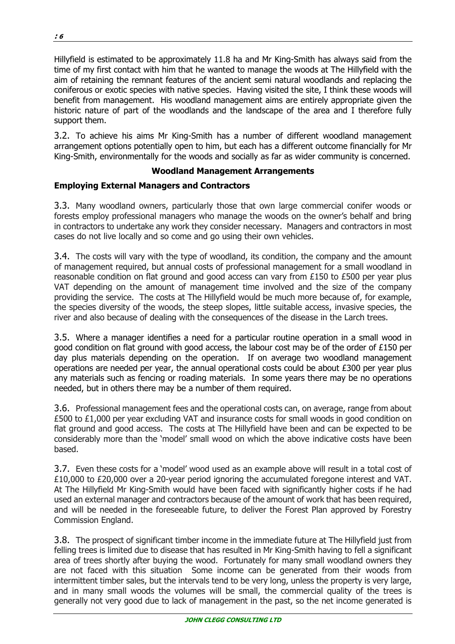Hillyfield is estimated to be approximately 11.8 ha and Mr King-Smith has always said from the time of my first contact with him that he wanted to manage the woods at The Hillyfield with the aim of retaining the remnant features of the ancient semi natural woodlands and replacing the coniferous or exotic species with native species. Having visited the site, I think these woods will benefit from management. His woodland management aims are entirely appropriate given the historic nature of part of the woodlands and the landscape of the area and I therefore fully support them.

3.2. To achieve his aims Mr King-Smith has a number of different woodland management arrangement options potentially open to him, but each has a different outcome financially for Mr King-Smith, environmentally for the woods and socially as far as wider community is concerned.

#### **Woodland Management Arrangements**

## **Employing External Managers and Contractors**

3.3. Many woodland owners, particularly those that own large commercial conifer woods or forests employ professional managers who manage the woods on the owner's behalf and bring in contractors to undertake any work they consider necessary. Managers and contractors in most cases do not live locally and so come and go using their own vehicles.

3.4. The costs will vary with the type of woodland, its condition, the company and the amount of management required, but annual costs of professional management for a small woodland in reasonable condition on flat ground and good access can vary from £150 to £500 per year plus VAT depending on the amount of management time involved and the size of the company providing the service. The costs at The Hillyfield would be much more because of, for example, the species diversity of the woods, the steep slopes, little suitable access, invasive species, the river and also because of dealing with the consequences of the disease in the Larch trees.

3.5. Where a manager identifies a need for a particular routine operation in a small wood in good condition on flat ground with good access, the labour cost may be of the order of £150 per day plus materials depending on the operation. If on average two woodland management operations are needed per year, the annual operational costs could be about £300 per year plus any materials such as fencing or roading materials. In some years there may be no operations needed, but in others there may be a number of them required.

3.6. Professional management fees and the operational costs can, on average, range from about £500 to £1,000 per year excluding VAT and insurance costs for small woods in good condition on flat ground and good access. The costs at The Hillyfield have been and can be expected to be considerably more than the 'model' small wood on which the above indicative costs have been based.

3.7. Even these costs for a 'model' wood used as an example above will result in a total cost of £10,000 to £20,000 over a 20-year period ignoring the accumulated foregone interest and VAT. At The Hillyfield Mr King-Smith would have been faced with significantly higher costs if he had used an external manager and contractors because of the amount of work that has been required, and will be needed in the foreseeable future, to deliver the Forest Plan approved by Forestry Commission England.

3.8. The prospect of significant timber income in the immediate future at The Hillyfield just from felling trees is limited due to disease that has resulted in Mr King-Smith having to fell a significant area of trees shortly after buying the wood. Fortunately for many small woodland owners they are not faced with this situation Some income can be generated from their woods from intermittent timber sales, but the intervals tend to be very long, unless the property is very large, and in many small woods the volumes will be small, the commercial quality of the trees is generally not very good due to lack of management in the past, so the net income generated is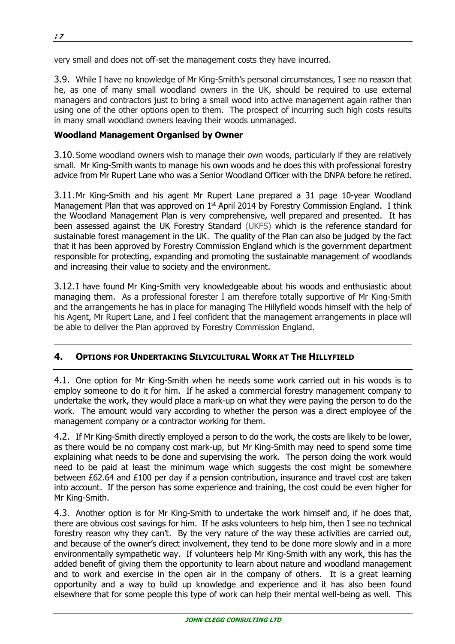very small and does not off-set the management costs they have incurred.

3.9. While I have no knowledge of Mr King-Smith's personal circumstances, I see no reason that he, as one of many small woodland owners in the UK, should be required to use external managers and contractors just to bring a small wood into active management again rather than using one of the other options open to them. The prospect of incurring such high costs results in many small woodland owners leaving their woods unmanaged.

#### **Woodland Management Organised by Owner**

3.10.Some woodland owners wish to manage their own woods, particularly if they are relatively small. Mr King-Smith wants to manage his own woods and he does this with professional forestry advice from Mr Rupert Lane who was a Senior Woodland Officer with the DNPA before he retired.

3.11.Mr King-Smith and his agent Mr Rupert Lane prepared a 31 page 10-year Woodland Management Plan that was approved on  $1<sup>st</sup>$  April 2014 by Forestry Commission England. I think the Woodland Management Plan is very comprehensive, well prepared and presented. It has been assessed against the UK Forestry Standard (UKFS) which is the reference standard for sustainable forest management in the UK. The quality of the Plan can also be judged by the fact that it has been approved by Forestry Commission England which is the government department responsible for protecting, expanding and promoting the sustainable management of woodlands and increasing their value to society and the environment.

3.12.I have found Mr King-Smith very knowledgeable about his woods and enthusiastic about managing them. As a professional forester I am therefore totally supportive of Mr King-Smith and the arrangements he has in place for managing The Hillyfield woods himself with the help of his Agent, Mr Rupert Lane, and I feel confident that the management arrangements in place will be able to deliver the Plan approved by Forestry Commission England.

## **4. OPTIONS FOR UNDERTAKING SILVICULTURAL WORK AT THE HILLYFIELD**

4.1. One option for Mr King-Smith when he needs some work carried out in his woods is to employ someone to do it for him. If he asked a commercial forestry management company to undertake the work, they would place a mark-up on what they were paying the person to do the work. The amount would vary according to whether the person was a direct employee of the management company or a contractor working for them.

4.2. If Mr King-Smith directly employed a person to do the work, the costs are likely to be lower, as there would be no company cost mark-up, but Mr King-Smith may need to spend some time explaining what needs to be done and supervising the work. The person doing the work would need to be paid at least the minimum wage which suggests the cost might be somewhere between £62.64 and £100 per day if a pension contribution, insurance and travel cost are taken into account. If the person has some experience and training, the cost could be even higher for Mr King-Smith.

4.3. Another option is for Mr King-Smith to undertake the work himself and, if he does that, there are obvious cost savings for him. If he asks volunteers to help him, then I see no technical forestry reason why they can't. By the very nature of the way these activities are carried out, and because of the owner's direct involvement, they tend to be done more slowly and in a more environmentally sympathetic way. If volunteers help Mr King-Smith with any work, this has the added benefit of giving them the opportunity to learn about nature and woodland management and to work and exercise in the open air in the company of others. It is a great learning opportunity and a way to build up knowledge and experience and it has also been found elsewhere that for some people this type of work can help their mental well-being as well. This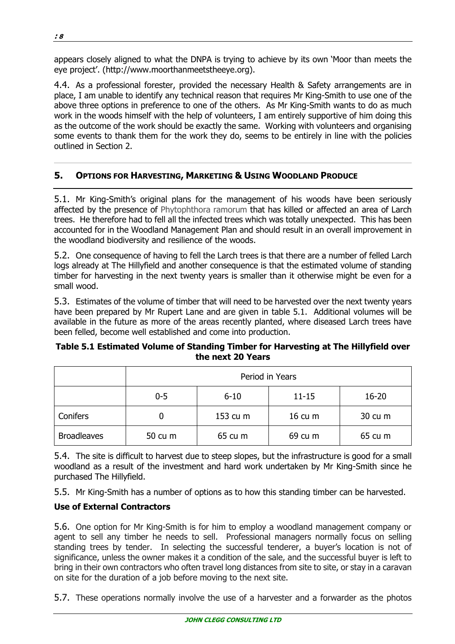appears closely aligned to what the DNPA is trying to achieve by its own 'Moor than meets the eye project'. (http://www.moorthanmeetstheeye.org).

4.4. As a professional forester, provided the necessary Health & Safety arrangements are in place, I am unable to identify any technical reason that requires Mr King-Smith to use one of the above three options in preference to one of the others. As Mr King-Smith wants to do as much work in the woods himself with the help of volunteers, I am entirely supportive of him doing this as the outcome of the work should be exactly the same. Working with volunteers and organising some events to thank them for the work they do, seems to be entirely in line with the policies outlined in Section 2.

## **5. OPTIONS FOR HARVESTING, MARKETING & USING WOODLAND PRODUCE**

5.1. Mr King-Smith's original plans for the management of his woods have been seriously affected by the presence of Phytophthora ramorum that has killed or affected an area of Larch trees. He therefore had to fell all the infected trees which was totally unexpected. This has been accounted for in the Woodland Management Plan and should result in an overall improvement in the woodland biodiversity and resilience of the woods.

5.2. One consequence of having to fell the Larch trees is that there are a number of felled Larch logs already at The Hillyfield and another consequence is that the estimated volume of standing timber for harvesting in the next twenty years is smaller than it otherwise might be even for a small wood.

5.3. Estimates of the volume of timber that will need to be harvested over the next twenty years have been prepared by Mr Rupert Lane and are given in table 5.1. Additional volumes will be available in the future as more of the areas recently planted, where diseased Larch trees have been felled, become well established and come into production.

#### **Table 5.1 Estimated Volume of Standing Timber for Harvesting at The Hillyfield over the next 20 Years**

|                    | Period in Years |          |                           |           |
|--------------------|-----------------|----------|---------------------------|-----------|
|                    | $0 - 5$         | $6 - 10$ | $11 - 15$                 | $16 - 20$ |
| Conifers           |                 | 153 cu m | $16 \text{ cu } \text{m}$ | 30 cu m   |
| <b>Broadleaves</b> | 50 cu m         | 65 cu m  | 69 cu m                   | 65 cu m   |

5.4. The site is difficult to harvest due to steep slopes, but the infrastructure is good for a small woodland as a result of the investment and hard work undertaken by Mr King-Smith since he purchased The Hillyfield.

5.5. Mr King-Smith has a number of options as to how this standing timber can be harvested.

## **Use of External Contractors**

5.6. One option for Mr King-Smith is for him to employ a woodland management company or agent to sell any timber he needs to sell. Professional managers normally focus on selling standing trees by tender. In selecting the successful tenderer, a buyer's location is not of significance, unless the owner makes it a condition of the sale, and the successful buyer is left to bring in their own contractors who often travel long distances from site to site, or stay in a caravan on site for the duration of a job before moving to the next site.

5.7. These operations normally involve the use of a harvester and a forwarder as the photos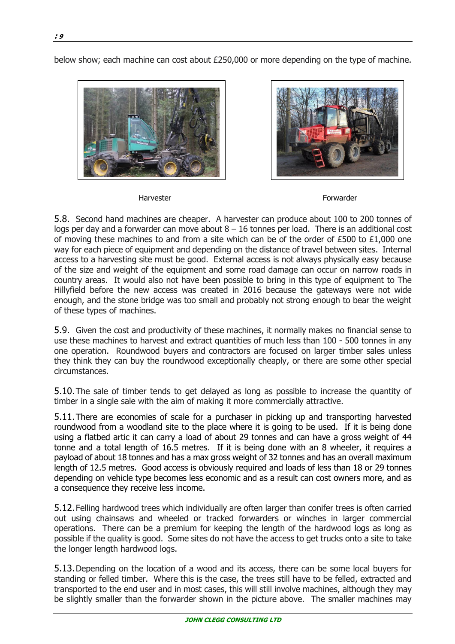below show; each machine can cost about £250,000 or more depending on the type of machine.





Harvester **Forwarder** Forwarder

5.8. Second hand machines are cheaper. A harvester can produce about 100 to 200 tonnes of logs per day and a forwarder can move about  $8 - 16$  tonnes per load. There is an additional cost of moving these machines to and from a site which can be of the order of £500 to £1,000 one way for each piece of equipment and depending on the distance of travel between sites. Internal access to a harvesting site must be good. External access is not always physically easy because of the size and weight of the equipment and some road damage can occur on narrow roads in country areas. It would also not have been possible to bring in this type of equipment to The Hillyfield before the new access was created in 2016 because the gateways were not wide enough, and the stone bridge was too small and probably not strong enough to bear the weight of these types of machines.

5.9. Given the cost and productivity of these machines, it normally makes no financial sense to use these machines to harvest and extract quantities of much less than 100 - 500 tonnes in any one operation. Roundwood buyers and contractors are focused on larger timber sales unless they think they can buy the roundwood exceptionally cheaply, or there are some other special circumstances.

5.10.The sale of timber tends to get delayed as long as possible to increase the quantity of timber in a single sale with the aim of making it more commercially attractive.

5.11.There are economies of scale for a purchaser in picking up and transporting harvested roundwood from a woodland site to the place where it is going to be used. If it is being done using a flatbed artic it can carry a load of about 29 tonnes and can have a gross weight of 44 tonne and a total length of 16.5 metres. If it is being done with an 8 wheeler, it requires a payload of about 18 tonnes and has a max gross weight of 32 tonnes and has an overall maximum length of 12.5 metres. Good access is obviously required and loads of less than 18 or 29 tonnes depending on vehicle type becomes less economic and as a result can cost owners more, and as a consequence they receive less income.

5.12.Felling hardwood trees which individually are often larger than conifer trees is often carried out using chainsaws and wheeled or tracked forwarders or winches in larger commercial operations. There can be a premium for keeping the length of the hardwood logs as long as possible if the quality is good. Some sites do not have the access to get trucks onto a site to take the longer length hardwood logs.

5.13.Depending on the location of a wood and its access, there can be some local buyers for standing or felled timber. Where this is the case, the trees still have to be felled, extracted and transported to the end user and in most cases, this will still involve machines, although they may be slightly smaller than the forwarder shown in the picture above. The smaller machines may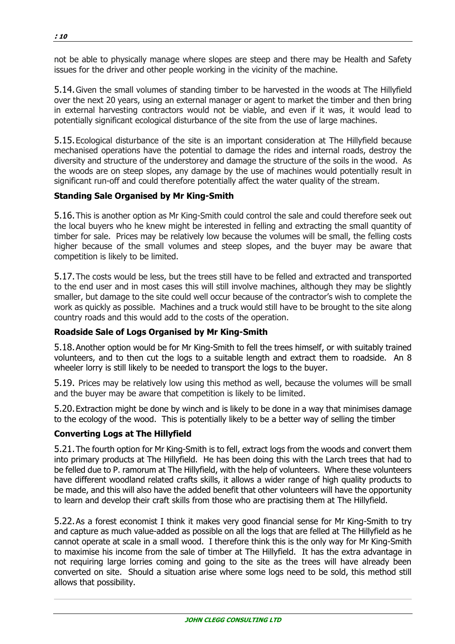not be able to physically manage where slopes are steep and there may be Health and Safety issues for the driver and other people working in the vicinity of the machine.

5.14.Given the small volumes of standing timber to be harvested in the woods at The Hillyfield over the next 20 years, using an external manager or agent to market the timber and then bring in external harvesting contractors would not be viable, and even if it was, it would lead to potentially significant ecological disturbance of the site from the use of large machines.

5.15.Ecological disturbance of the site is an important consideration at The Hillyfield because mechanised operations have the potential to damage the rides and internal roads, destroy the diversity and structure of the understorey and damage the structure of the soils in the wood. As the woods are on steep slopes, any damage by the use of machines would potentially result in significant run-off and could therefore potentially affect the water quality of the stream.

#### **Standing Sale Organised by Mr King-Smith**

5.16.This is another option as Mr King-Smith could control the sale and could therefore seek out the local buyers who he knew might be interested in felling and extracting the small quantity of timber for sale. Prices may be relatively low because the volumes will be small, the felling costs higher because of the small volumes and steep slopes, and the buyer may be aware that competition is likely to be limited.

5.17.The costs would be less, but the trees still have to be felled and extracted and transported to the end user and in most cases this will still involve machines, although they may be slightly smaller, but damage to the site could well occur because of the contractor's wish to complete the work as quickly as possible. Machines and a truck would still have to be brought to the site along country roads and this would add to the costs of the operation.

#### **Roadside Sale of Logs Organised by Mr King-Smith**

5.18.Another option would be for Mr King-Smith to fell the trees himself, or with suitably trained volunteers, and to then cut the logs to a suitable length and extract them to roadside. An 8 wheeler lorry is still likely to be needed to transport the logs to the buyer.

5.19. Prices may be relatively low using this method as well, because the volumes will be small and the buyer may be aware that competition is likely to be limited.

5.20.Extraction might be done by winch and is likely to be done in a way that minimises damage to the ecology of the wood. This is potentially likely to be a better way of selling the timber

#### **Converting Logs at The Hillyfield**

5.21.The fourth option for Mr King-Smith is to fell, extract logs from the woods and convert them into primary products at The Hillyfield. He has been doing this with the Larch trees that had to be felled due to P. ramorum at The Hillyfield, with the help of volunteers. Where these volunteers have different woodland related crafts skills, it allows a wider range of high quality products to be made, and this will also have the added benefit that other volunteers will have the opportunity to learn and develop their craft skills from those who are practising them at The Hillyfield.

5.22.As a forest economist I think it makes very good financial sense for Mr King-Smith to try and capture as much value-added as possible on all the logs that are felled at The Hillyfield as he cannot operate at scale in a small wood. I therefore think this is the only way for Mr King-Smith to maximise his income from the sale of timber at The Hillyfield. It has the extra advantage in not requiring large lorries coming and going to the site as the trees will have already been converted on site. Should a situation arise where some logs need to be sold, this method still allows that possibility.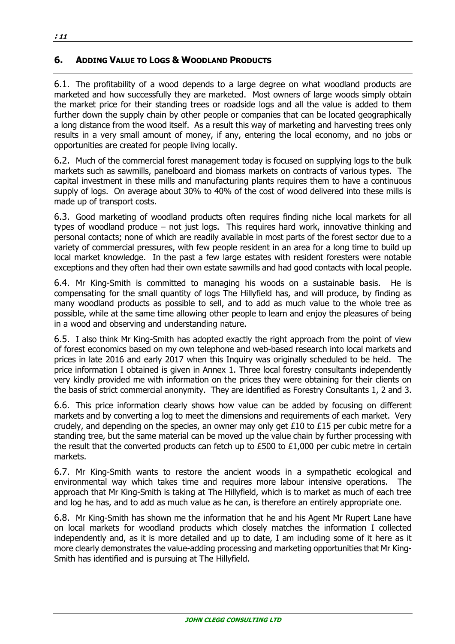## **6. ADDING VALUE TO LOGS & WOODLAND PRODUCTS**

6.1. The profitability of a wood depends to a large degree on what woodland products are marketed and how successfully they are marketed. Most owners of large woods simply obtain the market price for their standing trees or roadside logs and all the value is added to them further down the supply chain by other people or companies that can be located geographically a long distance from the wood itself. As a result this way of marketing and harvesting trees only results in a very small amount of money, if any, entering the local economy, and no jobs or opportunities are created for people living locally.

6.2. Much of the commercial forest management today is focused on supplying logs to the bulk markets such as sawmills, panelboard and biomass markets on contracts of various types. The capital investment in these mills and manufacturing plants requires them to have a continuous supply of logs. On average about 30% to 40% of the cost of wood delivered into these mills is made up of transport costs.

6.3. Good marketing of woodland products often requires finding niche local markets for all types of woodland produce – not just logs. This requires hard work, innovative thinking and personal contacts; none of which are readily available in most parts of the forest sector due to a variety of commercial pressures, with few people resident in an area for a long time to build up local market knowledge. In the past a few large estates with resident foresters were notable exceptions and they often had their own estate sawmills and had good contacts with local people.

6.4. Mr King-Smith is committed to managing his woods on a sustainable basis. He is compensating for the small quantity of logs The Hillyfield has, and will produce, by finding as many woodland products as possible to sell, and to add as much value to the whole tree as possible, while at the same time allowing other people to learn and enjoy the pleasures of being in a wood and observing and understanding nature.

6.5. I also think Mr King-Smith has adopted exactly the right approach from the point of view of forest economics based on my own telephone and web-based research into local markets and prices in late 2016 and early 2017 when this Inquiry was originally scheduled to be held. The price information I obtained is given in Annex 1. Three local forestry consultants independently very kindly provided me with information on the prices they were obtaining for their clients on the basis of strict commercial anonymity. They are identified as Forestry Consultants 1, 2 and 3.

6.6. This price information clearly shows how value can be added by focusing on different markets and by converting a log to meet the dimensions and requirements of each market. Very crudely, and depending on the species, an owner may only get £10 to £15 per cubic metre for a standing tree, but the same material can be moved up the value chain by further processing with the result that the converted products can fetch up to £500 to £1,000 per cubic metre in certain markets.

6.7. Mr King-Smith wants to restore the ancient woods in a sympathetic ecological and environmental way which takes time and requires more labour intensive operations. The approach that Mr King-Smith is taking at The Hillyfield, which is to market as much of each tree and log he has, and to add as much value as he can, is therefore an entirely appropriate one.

6.8. Mr King-Smith has shown me the information that he and his Agent Mr Rupert Lane have on local markets for woodland products which closely matches the information I collected independently and, as it is more detailed and up to date, I am including some of it here as it more clearly demonstrates the value-adding processing and marketing opportunities that Mr King-Smith has identified and is pursuing at The Hillyfield.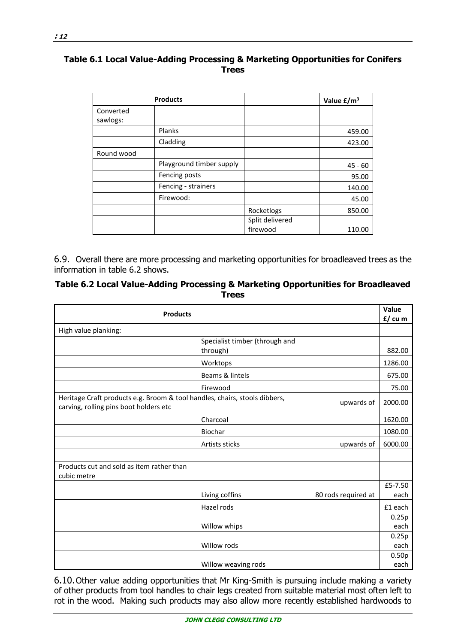#### **Table 6.1 Local Value-Adding Processing & Marketing Opportunities for Conifers Trees**

|                       | <b>Products</b>          |                 | Value $E/m^3$ |
|-----------------------|--------------------------|-----------------|---------------|
| Converted<br>sawlogs: |                          |                 |               |
|                       | Planks                   |                 | 459.00        |
|                       | Cladding                 |                 | 423.00        |
| Round wood            |                          |                 |               |
|                       | Playground timber supply |                 | $45 - 60$     |
|                       | Fencing posts            |                 | 95.00         |
|                       | Fencing - strainers      |                 | 140.00        |
|                       | Firewood:                |                 | 45.00         |
|                       |                          | Rocketlogs      | 850.00        |
|                       |                          | Split delivered |               |
|                       |                          | firewood        | 110.00        |

6.9. Overall there are more processing and marketing opportunities for broadleaved trees as the information in table 6.2 shows.

#### **Table 6.2 Local Value-Adding Processing & Marketing Opportunities for Broadleaved Trees**

| Value<br><b>Products</b>                                                                                             |                                            |                     |                           |
|----------------------------------------------------------------------------------------------------------------------|--------------------------------------------|---------------------|---------------------------|
| High value planking:                                                                                                 |                                            |                     |                           |
|                                                                                                                      | Specialist timber (through and<br>through) |                     | 882.00                    |
|                                                                                                                      | Worktops                                   |                     | 1286.00                   |
|                                                                                                                      | Beams & lintels                            |                     | 675.00                    |
|                                                                                                                      | Firewood                                   |                     | 75.00                     |
| Heritage Craft products e.g. Broom & tool handles, chairs, stools dibbers,<br>carving, rolling pins boot holders etc |                                            | upwards of          | 2000.00                   |
|                                                                                                                      | Charcoal                                   |                     | 1620.00                   |
|                                                                                                                      | Biochar                                    |                     | 1080.00                   |
|                                                                                                                      | Artists sticks                             | upwards of          | 6000.00                   |
|                                                                                                                      |                                            |                     |                           |
| Products cut and sold as item rather than<br>cubic metre                                                             |                                            |                     |                           |
|                                                                                                                      |                                            |                     | £5-7.50                   |
|                                                                                                                      | Living coffins                             | 80 rods required at | each                      |
|                                                                                                                      | Hazel rods                                 |                     | £1 each                   |
|                                                                                                                      |                                            |                     | 0.25p                     |
|                                                                                                                      | Willow whips                               |                     | each                      |
|                                                                                                                      |                                            |                     | 0.25p                     |
|                                                                                                                      | Willow rods                                |                     | each                      |
|                                                                                                                      | Willow weaving rods                        |                     | 0.50 <sub>p</sub><br>each |

6.10.Other value adding opportunities that Mr King-Smith is pursuing include making a variety of other products from tool handles to chair legs created from suitable material most often left to rot in the wood. Making such products may also allow more recently established hardwoods to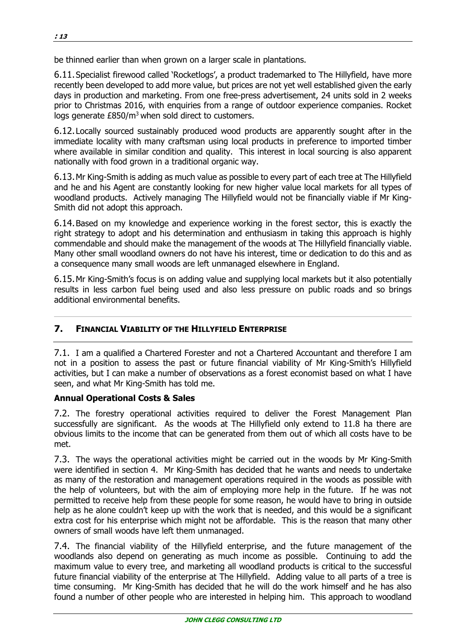be thinned earlier than when grown on a larger scale in plantations.

6.11.Specialist firewood called 'Rocketlogs', a product trademarked to The Hillyfield, have more recently been developed to add more value, but prices are not yet well established given the early days in production and marketing. From one free-press advertisement, 24 units sold in 2 weeks prior to Christmas 2016, with enquiries from a range of outdoor experience companies. Rocket logs generate £850/m<sup>3</sup> when sold direct to customers.

6.12.Locally sourced sustainably produced wood products are apparently sought after in the immediate locality with many craftsman using local products in preference to imported timber where available in similar condition and quality. This interest in local sourcing is also apparent nationally with food grown in a traditional organic way.

6.13.Mr King-Smith is adding as much value as possible to every part of each tree at The Hillyfield and he and his Agent are constantly looking for new higher value local markets for all types of woodland products. Actively managing The Hillyfield would not be financially viable if Mr King-Smith did not adopt this approach.

6.14.Based on my knowledge and experience working in the forest sector, this is exactly the right strategy to adopt and his determination and enthusiasm in taking this approach is highly commendable and should make the management of the woods at The Hillyfield financially viable. Many other small woodland owners do not have his interest, time or dedication to do this and as a consequence many small woods are left unmanaged elsewhere in England.

6.15.Mr King-Smith's focus is on adding value and supplying local markets but it also potentially results in less carbon fuel being used and also less pressure on public roads and so brings additional environmental benefits.

## **7. FINANCIAL VIABILITY OF THE HILLYFIELD ENTERPRISE**

7.1. I am a qualified a Chartered Forester and not a Chartered Accountant and therefore I am not in a position to assess the past or future financial viability of Mr King-Smith's Hillyfield activities, but I can make a number of observations as a forest economist based on what I have seen, and what Mr King-Smith has told me.

#### **Annual Operational Costs & Sales**

7.2. The forestry operational activities required to deliver the Forest Management Plan successfully are significant. As the woods at The Hillyfield only extend to 11.8 ha there are obvious limits to the income that can be generated from them out of which all costs have to be met.

7.3. The ways the operational activities might be carried out in the woods by Mr King-Smith were identified in section 4. Mr King-Smith has decided that he wants and needs to undertake as many of the restoration and management operations required in the woods as possible with the help of volunteers, but with the aim of employing more help in the future. If he was not permitted to receive help from these people for some reason, he would have to bring in outside help as he alone couldn't keep up with the work that is needed, and this would be a significant extra cost for his enterprise which might not be affordable. This is the reason that many other owners of small woods have left them unmanaged.

7.4. The financial viability of the Hillyfield enterprise, and the future management of the woodlands also depend on generating as much income as possible. Continuing to add the maximum value to every tree, and marketing all woodland products is critical to the successful future financial viability of the enterprise at The Hillyfield. Adding value to all parts of a tree is time consuming. Mr King-Smith has decided that he will do the work himself and he has also found a number of other people who are interested in helping him. This approach to woodland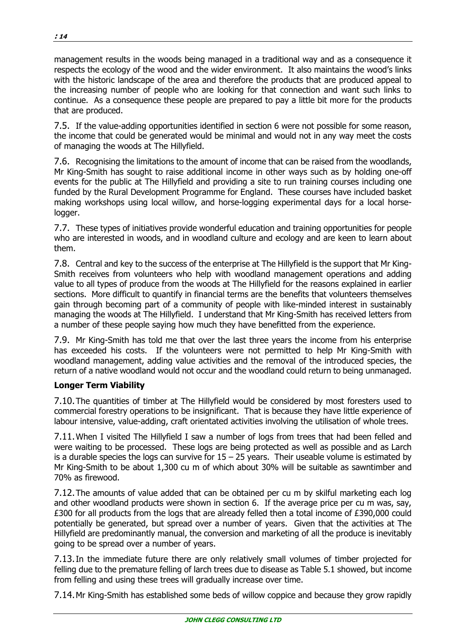management results in the woods being managed in a traditional way and as a consequence it respects the ecology of the wood and the wider environment. It also maintains the wood's links with the historic landscape of the area and therefore the products that are produced appeal to the increasing number of people who are looking for that connection and want such links to continue. As a consequence these people are prepared to pay a little bit more for the products that are produced.

7.5. If the value-adding opportunities identified in section 6 were not possible for some reason, the income that could be generated would be minimal and would not in any way meet the costs of managing the woods at The Hillyfield.

7.6. Recognising the limitations to the amount of income that can be raised from the woodlands, Mr King-Smith has sought to raise additional income in other ways such as by holding one-off events for the public at The Hillyfield and providing a site to run training courses including one funded by the Rural Development Programme for England. These courses have included basket making workshops using local willow, and horse-logging experimental days for a local horselogger.

7.7. These types of initiatives provide wonderful education and training opportunities for people who are interested in woods, and in woodland culture and ecology and are keen to learn about them.

7.8. Central and key to the success of the enterprise at The Hillyfield is the support that Mr King-Smith receives from volunteers who help with woodland management operations and adding value to all types of produce from the woods at The Hillyfield for the reasons explained in earlier sections. More difficult to quantify in financial terms are the benefits that volunteers themselves gain through becoming part of a community of people with like-minded interest in sustainably managing the woods at The Hillyfield. I understand that Mr King-Smith has received letters from a number of these people saying how much they have benefitted from the experience.

7.9. Mr King-Smith has told me that over the last three years the income from his enterprise has exceeded his costs. If the volunteers were not permitted to help Mr King-Smith with woodland management, adding value activities and the removal of the introduced species, the return of a native woodland would not occur and the woodland could return to being unmanaged.

## **Longer Term Viability**

7.10.The quantities of timber at The Hillyfield would be considered by most foresters used to commercial forestry operations to be insignificant. That is because they have little experience of labour intensive, value-adding, craft orientated activities involving the utilisation of whole trees.

7.11.When I visited The Hillyfield I saw a number of logs from trees that had been felled and were waiting to be processed. These logs are being protected as well as possible and as Larch is a durable species the logs can survive for  $15 - 25$  years. Their useable volume is estimated by Mr King-Smith to be about 1,300 cu m of which about 30% will be suitable as sawntimber and 70% as firewood.

7.12.The amounts of value added that can be obtained per cu m by skilful marketing each log and other woodland products were shown in section 6. If the average price per cu m was, say, £300 for all products from the logs that are already felled then a total income of £390,000 could potentially be generated, but spread over a number of years. Given that the activities at The Hillyfield are predominantly manual, the conversion and marketing of all the produce is inevitably going to be spread over a number of years.

7.13.In the immediate future there are only relatively small volumes of timber projected for felling due to the premature felling of larch trees due to disease as Table 5.1 showed, but income from felling and using these trees will gradually increase over time.

7.14.Mr King-Smith has established some beds of willow coppice and because they grow rapidly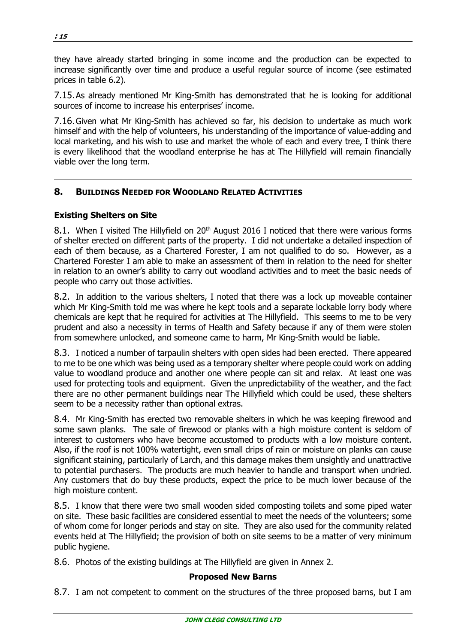they have already started bringing in some income and the production can be expected to increase significantly over time and produce a useful regular source of income (see estimated prices in table 6.2).

7.15.As already mentioned Mr King-Smith has demonstrated that he is looking for additional sources of income to increase his enterprises' income.

7.16.Given what Mr King-Smith has achieved so far, his decision to undertake as much work himself and with the help of volunteers, his understanding of the importance of value-adding and local marketing, and his wish to use and market the whole of each and every tree, I think there is every likelihood that the woodland enterprise he has at The Hillyfield will remain financially viable over the long term.

## **8. BUILDINGS NEEDED FOR WOODLAND RELATED ACTIVITIES**

#### **Existing Shelters on Site**

8.1. When I visited The Hillyfield on 20<sup>th</sup> August 2016 I noticed that there were various forms of shelter erected on different parts of the property. I did not undertake a detailed inspection of each of them because, as a Chartered Forester, I am not qualified to do so. However, as a Chartered Forester I am able to make an assessment of them in relation to the need for shelter in relation to an owner's ability to carry out woodland activities and to meet the basic needs of people who carry out those activities.

8.2. In addition to the various shelters, I noted that there was a lock up moveable container which Mr King-Smith told me was where he kept tools and a separate lockable lorry body where chemicals are kept that he required for activities at The Hillyfield. This seems to me to be very prudent and also a necessity in terms of Health and Safety because if any of them were stolen from somewhere unlocked, and someone came to harm, Mr King-Smith would be liable.

8.3. I noticed a number of tarpaulin shelters with open sides had been erected. There appeared to me to be one which was being used as a temporary shelter where people could work on adding value to woodland produce and another one where people can sit and relax. At least one was used for protecting tools and equipment. Given the unpredictability of the weather, and the fact there are no other permanent buildings near The Hillyfield which could be used, these shelters seem to be a necessity rather than optional extras.

8.4. Mr King-Smith has erected two removable shelters in which he was keeping firewood and some sawn planks. The sale of firewood or planks with a high moisture content is seldom of interest to customers who have become accustomed to products with a low moisture content. Also, if the roof is not 100% watertight, even small drips of rain or moisture on planks can cause significant staining, particularly of Larch, and this damage makes them unsightly and unattractive to potential purchasers. The products are much heavier to handle and transport when undried. Any customers that do buy these products, expect the price to be much lower because of the high moisture content.

8.5. I know that there were two small wooden sided composting toilets and some piped water on site. These basic facilities are considered essential to meet the needs of the volunteers; some of whom come for longer periods and stay on site. They are also used for the community related events held at The Hillyfield; the provision of both on site seems to be a matter of very minimum public hygiene.

8.6. Photos of the existing buildings at The Hillyfield are given in Annex 2.

#### **Proposed New Barns**

8.7. I am not competent to comment on the structures of the three proposed barns, but I am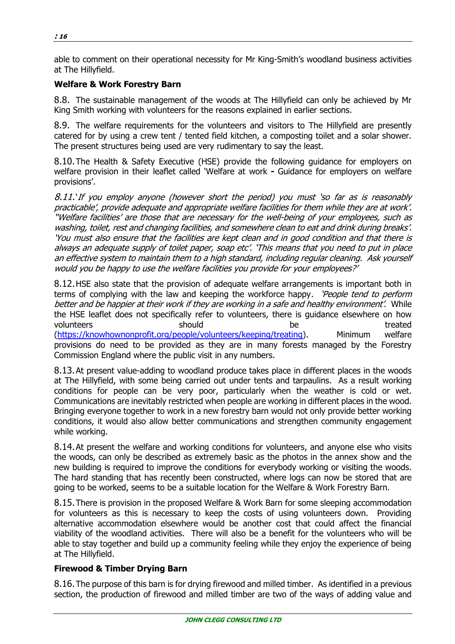able to comment on their operational necessity for Mr King-Smith's woodland business activities at The Hillyfield.

## **Welfare & Work Forestry Barn**

8.8. The sustainable management of the woods at The Hillyfield can only be achieved by Mr King Smith working with volunteers for the reasons explained in earlier sections.

8.9. The welfare requirements for the volunteers and visitors to The Hillyfield are presently catered for by using a crew tent / tented field kitchen, a composting toilet and a solar shower. The present structures being used are very rudimentary to say the least.

8.10.The Health & Safety Executive (HSE) provide the following guidance for employers on welfare provision in their leaflet called 'Welfare at work **-** Guidance for employers on welfare provisions'.

8.11.'If you employ anyone (however short the period) you must 'so far as is reasonably practicable', provide adequate and appropriate welfare facilities for them while they are at work'. ''Welfare facilities' are those that are necessary for the well-being of your employees, such as washing, toilet, rest and changing facilities, and somewhere clean to eat and drink during breaks'. 'You must also ensure that the facilities are kept clean and in good condition and that there is always an adequate supply of toilet paper, soap etc'. 'This means that you need to put in place an effective system to maintain them to a high standard, including regular cleaning. Ask yourself would you be happy to use the welfare facilities you provide for your employees?'

8.12.HSE also state that the provision of adequate welfare arrangements is important both in terms of complying with the law and keeping the workforce happy. 'People tend to perform better and be happier at their work if they are working in a safe and healthy environment'. While the HSE leaflet does not specifically refer to volunteers, there is guidance elsewhere on how volunteers **should** be treated (https://knowhownonprofit.org/people/volunteers/keeping/treating). Minimum welfare provisions do need to be provided as they are in many forests managed by the Forestry Commission England where the public visit in any numbers.

8.13.At present value-adding to woodland produce takes place in different places in the woods at The Hillyfield, with some being carried out under tents and tarpaulins. As a result working conditions for people can be very poor, particularly when the weather is cold or wet. Communications are inevitably restricted when people are working in different places in the wood. Bringing everyone together to work in a new forestry barn would not only provide better working conditions, it would also allow better communications and strengthen community engagement while working.

8.14.At present the welfare and working conditions for volunteers, and anyone else who visits the woods, can only be described as extremely basic as the photos in the annex show and the new building is required to improve the conditions for everybody working or visiting the woods. The hard standing that has recently been constructed, where logs can now be stored that are going to be worked, seems to be a suitable location for the Welfare & Work Forestry Barn.

8.15.There is provision in the proposed Welfare & Work Barn for some sleeping accommodation for volunteers as this is necessary to keep the costs of using volunteers down. Providing alternative accommodation elsewhere would be another cost that could affect the financial viability of the woodland activities. There will also be a benefit for the volunteers who will be able to stay together and build up a community feeling while they enjoy the experience of being at The Hillyfield.

## **Firewood & Timber Drying Barn**

8.16.The purpose of this barn is for drying firewood and milled timber. As identified in a previous section, the production of firewood and milled timber are two of the ways of adding value and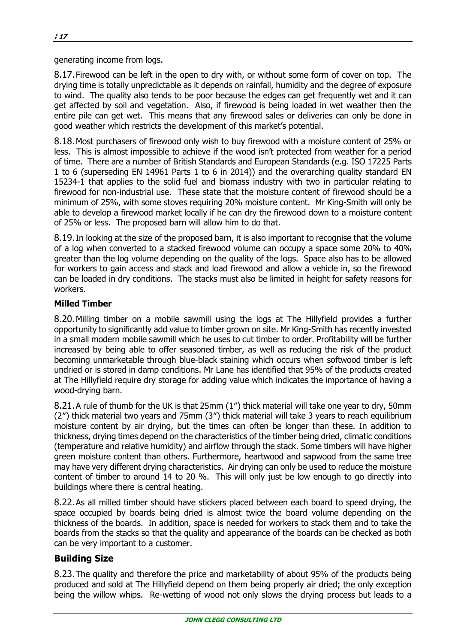generating income from logs.

8.17.Firewood can be left in the open to dry with, or without some form of cover on top. The drying time is totally unpredictable as it depends on rainfall, humidity and the degree of exposure to wind. The quality also tends to be poor because the edges can get frequently wet and it can get affected by soil and vegetation. Also, if firewood is being loaded in wet weather then the entire pile can get wet. This means that any firewood sales or deliveries can only be done in good weather which restricts the development of this market's potential.

8.18.Most purchasers of firewood only wish to buy firewood with a moisture content of 25% or less. This is almost impossible to achieve if the wood isn't protected from weather for a period of time. There are a number of British Standards and European Standards (e.g. ISO 17225 Parts 1 to 6 (superseding EN 14961 Parts 1 to 6 in 2014)) and the overarching quality standard EN 15234-1 that applies to the solid fuel and biomass industry with two in particular relating to firewood for non-industrial use. These state that the moisture content of firewood should be a minimum of 25%, with some stoves requiring 20% moisture content. Mr King-Smith will only be able to develop a firewood market locally if he can dry the firewood down to a moisture content of 25% or less. The proposed barn will allow him to do that.

8.19.In looking at the size of the proposed barn, it is also important to recognise that the volume of a log when converted to a stacked firewood volume can occupy a space some 20% to 40% greater than the log volume depending on the quality of the logs. Space also has to be allowed for workers to gain access and stack and load firewood and allow a vehicle in, so the firewood can be loaded in dry conditions. The stacks must also be limited in height for safety reasons for workers.

#### **Milled Timber**

8.20.Milling timber on a mobile sawmill using the logs at The Hillyfield provides a further opportunity to significantly add value to timber grown on site. Mr King-Smith has recently invested in a small modern mobile sawmill which he uses to cut timber to order. Profitability will be further increased by being able to offer seasoned timber, as well as reducing the risk of the product becoming unmarketable through blue-black staining which occurs when softwood timber is left undried or is stored in damp conditions. Mr Lane has identified that 95% of the products created at The Hillyfield require dry storage for adding value which indicates the importance of having a wood-drying barn.

8.21.A rule of thumb for the UK is that 25mm (1″) thick material will take one year to dry, 50mm (2″) thick material two years and 75mm (3″) thick material will take 3 years to reach equilibrium moisture content by air drying, but the times can often be longer than these. In addition to thickness, drying times depend on the characteristics of the timber being dried, climatic conditions (temperature and relative humidity) and airflow through the stack. Some timbers will have higher green moisture content than others. Furthermore, heartwood and sapwood from the same tree may have very different drying characteristics. Air drying can only be used to reduce the moisture content of timber to around 14 to 20 %. This will only just be low enough to go directly into buildings where there is central heating.

8.22.As all milled timber should have stickers placed between each board to speed drying, the space occupied by boards being dried is almost twice the board volume depending on the thickness of the boards. In addition, space is needed for workers to stack them and to take the boards from the stacks so that the quality and appearance of the boards can be checked as both can be very important to a customer.

## **Building Size**

8.23.The quality and therefore the price and marketability of about 95% of the products being produced and sold at The Hillyfield depend on them being properly air dried; the only exception being the willow whips. Re-wetting of wood not only slows the drying process but leads to a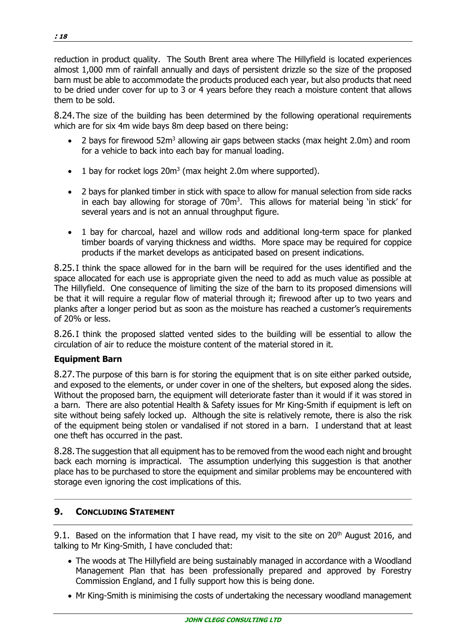reduction in product quality. The South Brent area where The Hillyfield is located experiences almost 1,000 mm of rainfall annually and days of persistent drizzle so the size of the proposed barn must be able to accommodate the products produced each year, but also products that need to be dried under cover for up to 3 or 4 years before they reach a moisture content that allows them to be sold.

8.24.The size of the building has been determined by the following operational requirements which are for six 4m wide bays 8m deep based on there being:

- 2 bays for firewood  $52m<sup>3</sup>$  allowing air gaps between stacks (max height 2.0m) and room for a vehicle to back into each bay for manual loading.
- $\bullet$  1 bay for rocket logs 20 $m<sup>3</sup>$  (max height 2.0m where supported).
- 2 bays for planked timber in stick with space to allow for manual selection from side racks in each bay allowing for storage of 70m<sup>3</sup>. This allows for material being 'in stick' for several years and is not an annual throughput figure.
- 1 bay for charcoal, hazel and willow rods and additional long-term space for planked timber boards of varying thickness and widths. More space may be required for coppice products if the market develops as anticipated based on present indications.

8.25.I think the space allowed for in the barn will be required for the uses identified and the space allocated for each use is appropriate given the need to add as much value as possible at The Hillyfield. One consequence of limiting the size of the barn to its proposed dimensions will be that it will require a regular flow of material through it; firewood after up to two years and planks after a longer period but as soon as the moisture has reached a customer's requirements of 20% or less.

8.26.I think the proposed slatted vented sides to the building will be essential to allow the circulation of air to reduce the moisture content of the material stored in it.

## **Equipment Barn**

8.27.The purpose of this barn is for storing the equipment that is on site either parked outside, and exposed to the elements, or under cover in one of the shelters, but exposed along the sides. Without the proposed barn, the equipment will deteriorate faster than it would if it was stored in a barn. There are also potential Health & Safety issues for Mr King-Smith if equipment is left on site without being safely locked up. Although the site is relatively remote, there is also the risk of the equipment being stolen or vandalised if not stored in a barn. I understand that at least one theft has occurred in the past.

8.28.The suggestion that all equipment has to be removed from the wood each night and brought back each morning is impractical. The assumption underlying this suggestion is that another place has to be purchased to store the equipment and similar problems may be encountered with storage even ignoring the cost implications of this.

## **9. CONCLUDING STATEMENT**

9.1. Based on the information that I have read, my visit to the site on  $20<sup>th</sup>$  August 2016, and talking to Mr King-Smith, I have concluded that:

- The woods at The Hillyfield are being sustainably managed in accordance with a Woodland Management Plan that has been professionally prepared and approved by Forestry Commission England, and I fully support how this is being done.
- Mr King-Smith is minimising the costs of undertaking the necessary woodland management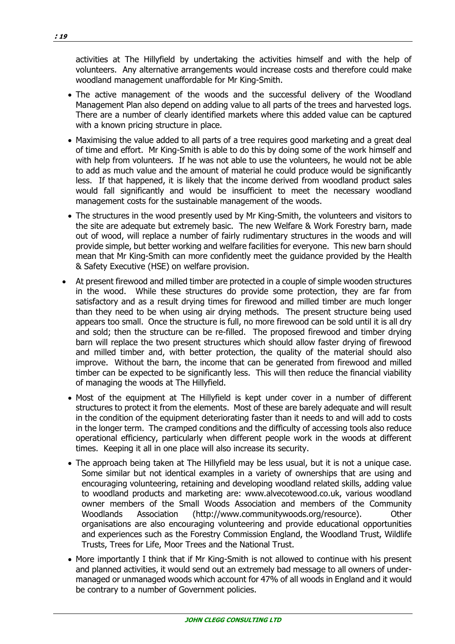activities at The Hillyfield by undertaking the activities himself and with the help of volunteers. Any alternative arrangements would increase costs and therefore could make woodland management unaffordable for Mr King-Smith.

- The active management of the woods and the successful delivery of the Woodland Management Plan also depend on adding value to all parts of the trees and harvested logs. There are a number of clearly identified markets where this added value can be captured with a known pricing structure in place.
- Maximising the value added to all parts of a tree requires good marketing and a great deal of time and effort. Mr King-Smith is able to do this by doing some of the work himself and with help from volunteers. If he was not able to use the volunteers, he would not be able to add as much value and the amount of material he could produce would be significantly less. If that happened, it is likely that the income derived from woodland product sales would fall significantly and would be insufficient to meet the necessary woodland management costs for the sustainable management of the woods.
- The structures in the wood presently used by Mr King-Smith, the volunteers and visitors to the site are adequate but extremely basic. The new Welfare & Work Forestry barn, made out of wood, will replace a number of fairly rudimentary structures in the woods and will provide simple, but better working and welfare facilities for everyone. This new barn should mean that Mr King-Smith can more confidently meet the guidance provided by the Health & Safety Executive (HSE) on welfare provision.
- At present firewood and milled timber are protected in a couple of simple wooden structures in the wood. While these structures do provide some protection, they are far from satisfactory and as a result drying times for firewood and milled timber are much longer than they need to be when using air drying methods. The present structure being used appears too small. Once the structure is full, no more firewood can be sold until it is all dry and sold; then the structure can be re-filled. The proposed firewood and timber drying barn will replace the two present structures which should allow faster drying of firewood and milled timber and, with better protection, the quality of the material should also improve. Without the barn, the income that can be generated from firewood and milled timber can be expected to be significantly less. This will then reduce the financial viability of managing the woods at The Hillyfield.
	- Most of the equipment at The Hillyfield is kept under cover in a number of different structures to protect it from the elements. Most of these are barely adequate and will result in the condition of the equipment deteriorating faster than it needs to and will add to costs in the longer term. The cramped conditions and the difficulty of accessing tools also reduce operational efficiency, particularly when different people work in the woods at different times. Keeping it all in one place will also increase its security.
- The approach being taken at The Hillyfield may be less usual, but it is not a unique case. Some similar but not identical examples in a variety of ownerships that are using and encouraging volunteering, retaining and developing woodland related skills, adding value to woodland products and marketing are: www.alvecotewood.co.uk, various woodland owner members of the Small Woods Association and members of the Community Woodlands Association (http://www.communitywoods.org/resource). Other organisations are also encouraging volunteering and provide educational opportunities and experiences such as the Forestry Commission England, the Woodland Trust, Wildlife Trusts, Trees for Life, Moor Trees and the National Trust.
- More importantly I think that if Mr King-Smith is not allowed to continue with his present and planned activities, it would send out an extremely bad message to all owners of undermanaged or unmanaged woods which account for 47% of all woods in England and it would be contrary to a number of Government policies.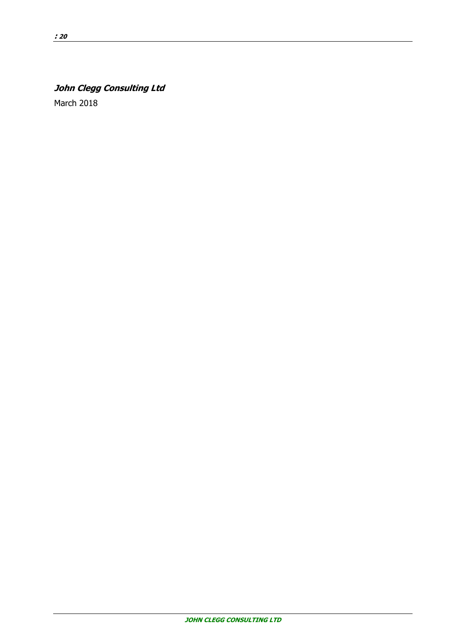## **John Clegg Consulting Ltd**

March 2018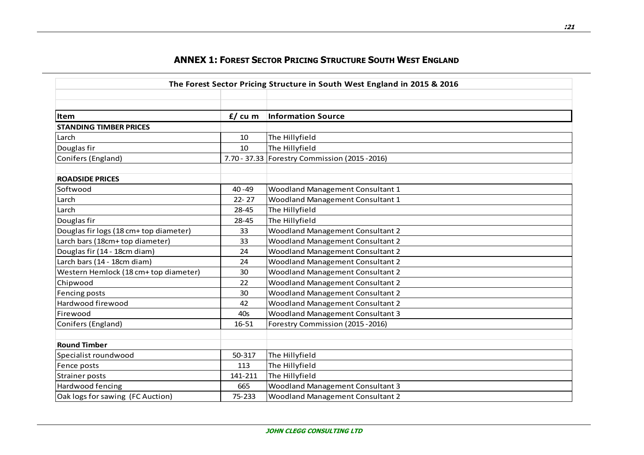| The Forest Sector Pricing Structure in South West England in 2015 & 2016 |            |                                                |  |
|--------------------------------------------------------------------------|------------|------------------------------------------------|--|
|                                                                          |            |                                                |  |
| <b>Item</b>                                                              | $f / cu$ m | <b>Information Source</b>                      |  |
| <b>STANDING TIMBER PRICES</b>                                            |            |                                                |  |
| Larch                                                                    | 10         | The Hillyfield                                 |  |
| Douglas fir                                                              | 10         | The Hillyfield                                 |  |
| Conifers (England)                                                       |            | 7.70 - 37.33 Forestry Commission (2015 - 2016) |  |
| <b>ROADSIDE PRICES</b>                                                   |            |                                                |  |
| Softwood                                                                 | $40 - 49$  | Woodland Management Consultant 1               |  |
| Larch                                                                    | $22 - 27$  | Woodland Management Consultant 1               |  |
| Larch                                                                    | 28-45      | The Hillyfield                                 |  |
| Douglas fir                                                              | 28-45      | The Hillyfield                                 |  |
| Douglas fir logs (18 cm+ top diameter)                                   | 33         | Woodland Management Consultant 2               |  |
| Larch bars (18cm+ top diameter)                                          | 33         | Woodland Management Consultant 2               |  |
| Douglas fir (14 - 18cm diam)                                             | 24         | Woodland Management Consultant 2               |  |
| Larch bars (14 - 18cm diam)                                              | 24         | <b>Woodland Management Consultant 2</b>        |  |
| Western Hemlock (18 cm+ top diameter)                                    | 30         | <b>Woodland Management Consultant 2</b>        |  |
| Chipwood                                                                 | 22         | Woodland Management Consultant 2               |  |
| Fencing posts                                                            | 30         | Woodland Management Consultant 2               |  |
| Hardwood firewood                                                        | 42         | <b>Woodland Management Consultant 2</b>        |  |
| Firewood                                                                 | 40s        | <b>Woodland Management Consultant 3</b>        |  |
| Conifers (England)                                                       | 16-51      | Forestry Commission (2015 - 2016)              |  |
| <b>Round Timber</b>                                                      |            |                                                |  |
| Specialist roundwood                                                     | 50-317     | The Hillyfield                                 |  |
| Fence posts                                                              | 113        | The Hillyfield                                 |  |
| <b>Strainer posts</b>                                                    | 141-211    | The Hillyfield                                 |  |
| Hardwood fencing                                                         | 665        | <b>Woodland Management Consultant 3</b>        |  |
| Oak logs for sawing (FC Auction)                                         | 75-233     | Woodland Management Consultant 2               |  |

## **ANNEX 1: FOREST SECTOR PRICING STRUCTURE SOUTH WEST ENGLAND**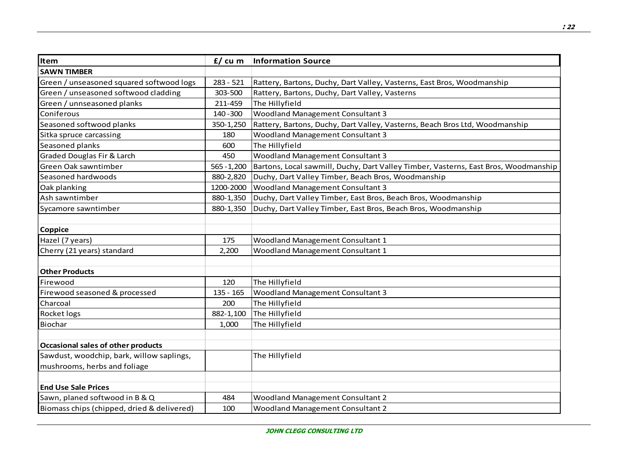| Item                                       | $f / cu$ m    | <b>Information Source</b>                                                           |
|--------------------------------------------|---------------|-------------------------------------------------------------------------------------|
| <b>SAWN TIMBER</b>                         |               |                                                                                     |
| Green / unseasoned squared softwood logs   | $283 - 521$   | Rattery, Bartons, Duchy, Dart Valley, Vasterns, East Bros, Woodmanship              |
| Green / unseasoned softwood cladding       | 303-500       | Rattery, Bartons, Duchy, Dart Valley, Vasterns                                      |
| Green / unnseasoned planks                 | 211-459       | The Hillyfield                                                                      |
| Coniferous                                 | 140 - 300     | <b>Woodland Management Consultant 3</b>                                             |
| Seasoned softwood planks                   | 350-1,250     | Rattery, Bartons, Duchy, Dart Valley, Vasterns, Beach Bros Ltd, Woodmanship         |
| Sitka spruce carcassing                    | 180           | <b>Woodland Management Consultant 3</b>                                             |
| Seasoned planks                            | 600           | The Hillyfield                                                                      |
| Graded Douglas Fir & Larch                 | 450           | <b>Woodland Management Consultant 3</b>                                             |
| Green Oak sawntimber                       | $565 - 1,200$ | Bartons, Local sawmill, Duchy, Dart Valley Timber, Vasterns, East Bros, Woodmanship |
| Seasoned hardwoods                         | 880-2,820     | Duchy, Dart Valley Timber, Beach Bros, Woodmanship                                  |
| Oak planking                               | 1200-2000     | Woodland Management Consultant 3                                                    |
| Ash sawntimber                             | 880-1,350     | Duchy, Dart Valley Timber, East Bros, Beach Bros, Woodmanship                       |
| Sycamore sawntimber                        | 880-1,350     | Duchy, Dart Valley Timber, East Bros, Beach Bros, Woodmanship                       |
|                                            |               |                                                                                     |
| Coppice                                    |               |                                                                                     |
| Hazel (7 years)                            | 175           | Woodland Management Consultant 1                                                    |
| Cherry (21 years) standard                 | 2,200         | Woodland Management Consultant 1                                                    |
|                                            |               |                                                                                     |
| <b>Other Products</b>                      |               |                                                                                     |
| Firewood                                   | 120           | The Hillyfield                                                                      |
| Firewood seasoned & processed              | $135 - 165$   | Woodland Management Consultant 3                                                    |
| Charcoal                                   | 200           | The Hillyfield                                                                      |
| Rocket logs                                | 882-1,100     | The Hillyfield                                                                      |
| Biochar                                    | 1,000         | The Hillyfield                                                                      |
|                                            |               |                                                                                     |
| <b>Occasional sales of other products</b>  |               |                                                                                     |
| Sawdust, woodchip, bark, willow saplings,  |               | The Hillyfield                                                                      |
| mushrooms, herbs and foliage               |               |                                                                                     |
|                                            |               |                                                                                     |
| <b>End Use Sale Prices</b>                 |               |                                                                                     |
| Sawn, planed softwood in B & Q             | 484           | <b>Woodland Management Consultant 2</b>                                             |
| Biomass chips (chipped, dried & delivered) | 100           | <b>Woodland Management Consultant 2</b>                                             |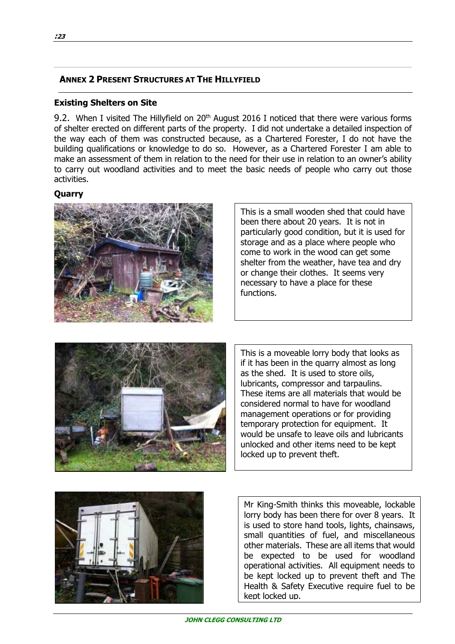## **ANNEX 2 PRESENT STRUCTURES AT THE HILLYFIELD**

#### **Existing Shelters on Site**

9.2. When I visited The Hillyfield on 20<sup>th</sup> August 2016 I noticed that there were various forms of shelter erected on different parts of the property. I did not undertake a detailed inspection of the way each of them was constructed because, as a Chartered Forester, I do not have the building qualifications or knowledge to do so. However, as a Chartered Forester I am able to make an assessment of them in relation to the need for their use in relation to an owner's ability to carry out woodland activities and to meet the basic needs of people who carry out those activities.

#### **Quarry**



This is a small wooden shed that could have been there about 20 years. It is not in particularly good condition, but it is used for storage and as a place where people who come to work in the wood can get some shelter from the weather, have tea and dry or change their clothes. It seems very necessary to have a place for these functions.



This is a moveable lorry body that looks as if it has been in the quarry almost as long as the shed. It is used to store oils, lubricants, compressor and tarpaulins. These items are all materials that would be considered normal to have for woodland management operations or for providing temporary protection for equipment. It would be unsafe to leave oils and lubricants unlocked and other items need to be kept locked up to prevent theft.



Mr King-Smith thinks this moveable, lockable lorry body has been there for over 8 years. It is used to store hand tools, lights, chainsaws, small quantities of fuel, and miscellaneous other materials. These are all items that would be expected to be used for woodland operational activities. All equipment needs to be kept locked up to prevent theft and The Health & Safety Executive require fuel to be kept locked up.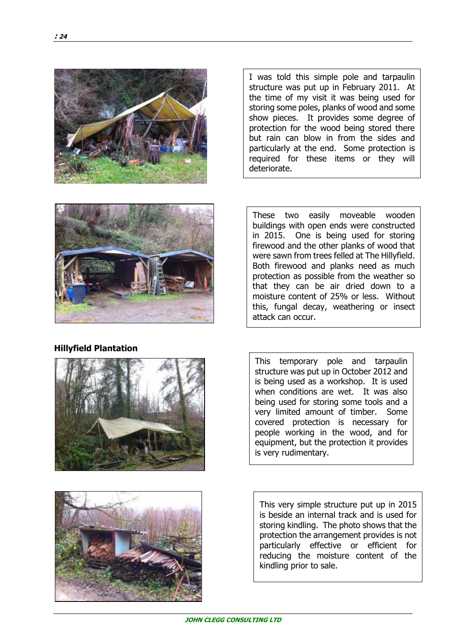

I was told this simple pole and tarpaulin structure was put up in February 2011. At the time of my visit it was being used for storing some poles, planks of wood and some show pieces. It provides some degree of protection for the wood being stored there but rain can blow in from the sides and particularly at the end. Some protection is required for these items or they will deteriorate.



#### **Hillyfield Plantation**





These two easily moveable wooden buildings with open ends were constructed in 2015. One is being used for storing firewood and the other planks of wood that were sawn from trees felled at The Hillyfield. Both firewood and planks need as much protection as possible from the weather so that they can be air dried down to a moisture content of 25% or less. Without this, fungal decay, weathering or insect attack can occur.

This temporary pole and tarpaulin structure was put up in October 2012 and is being used as a workshop. It is used when conditions are wet. It was also being used for storing some tools and a very limited amount of timber. Some covered protection is necessary for people working in the wood, and for equipment, but the protection it provides is very rudimentary.

This very simple structure put up in 2015 is beside an internal track and is used for storing kindling. The photo shows that the protection the arrangement provides is not particularly effective or efficient for reducing the moisture content of the kindling prior to sale.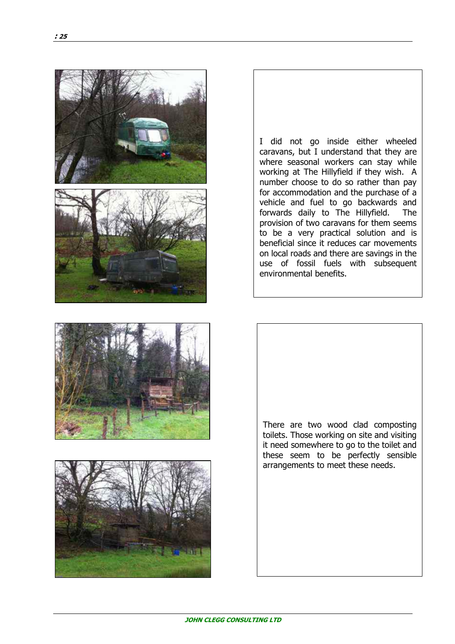

I did not go inside either wheeled caravans, but I understand that they are where seasonal workers can stay while working at The Hillyfield if they wish. A number choose to do so rather than pay for accommodation and the purchase of a vehicle and fuel to go backwards and forwards daily to The Hillyfield. The provision of two caravans for them seems to be a very practical solution and is beneficial since it reduces car movements on local roads and there are savings in the use of fossil fuels with subsequent environmental benefits.





There are two wood clad composting toilets. Those working on site and visiting it need somewhere to go to the toilet and these seem to be perfectly sensible arrangements to meet these needs.